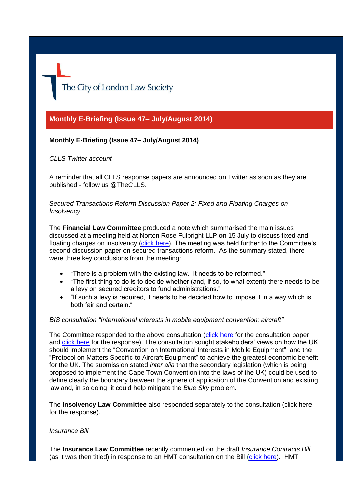The City of London Law Society

# **Monthly E-Briefing (Issue 47– July/August 2014)**

# **Monthly E-Briefing (Issue 47– July/August 2014)**

*CLLS Twitter account* 

A reminder that all CLLS response papers are announced on Twitter as soon as they are published - follow us @TheCLLS.

## *Secured Transactions Reform Discussion Paper 2: Fixed and Floating Charges on Insolvency*

The **Financial Law Committee** produced a note which summarised the main issues discussed at a meeting held at Norton Rose Fulbright LLP on 15 July to discuss fixed and floating charges on insolvency [\(click here\)](http://www.citysolicitors.org.uk/attachments/article/121/20140730%20Secured%20Transactions%20Reform_%20Fixed%20and%20Floating%20Charges%20on%20Insolvency%20(2).pdf). The meeting was held further to the Committee's second discussion paper on secured transactions reform. As the summary stated, there were three key conclusions from the meeting:

- "There is a problem with the existing law. It needs to be reformed."
- "The first thing to do is to decide whether (and, if so, to what extent) there needs to be a levy on secured creditors to fund administrations."
- "If such a levy is required, it needs to be decided how to impose it in a way which is both fair and certain "

#### *BIS consultation "International interests in mobile equipment convention: aircraft"*

The Committee responded to the above consultation [\(click here](https://www.gov.uk/government/consultations/international-interests-in-mobile-equipment-convention-aircraft) for the consultation paper and [click here](http://www.citysolicitors.org.uk/attachments/article/121/20140731%20Letter%20to%20BIS%20re%20Implementation%20of%20the%20Cape%20Town%20Convention%20by%20the%20United%20Kingdom%20(final).pdf) for the response). The consultation sought stakeholders' views on how the UK should implement the "Convention on International Interests in Mobile Equipment", and the "Protocol on Matters Specific to Aircraft Equipment" to achieve the greatest economic benefit for the UK. The submission stated *inter alia* that the secondary legislation (which is being proposed to implement the Cape Town Convention into the laws of the UK) could be used to define clearly the boundary between the sphere of application of the Convention and existing law and, in so doing, it could help mitigate the *Blue Sky* problem.

The **Insolvency Law Committee** also responded separately to the consultation [\(click here](http://www.citysolicitors.org.uk/attachments/article/119/20140811%20Response%20to%20BIS%20consultation%20Ratification%20of%20the%20Convention%20on%20International%20Interests%20in%20mobile%20equipment%20specific%20to%20aircraft%20equipment%20final.pdf) for the response).

#### *Insurance Bill*

The **Insurance Law Committee** recently commented on the draft *Insurance Contracts Bill* (as it was then titled) in response to an HMT consultation on the Bill [\(click here\)](http://www.citysolicitors.org.uk/attachments/article/117/20140707%20CLLS%20Insurance%20Law%20Committee%20response%20to%20HM%20Treasury%20consultation%202%20July%20%20%20%20(2).pdf). HMT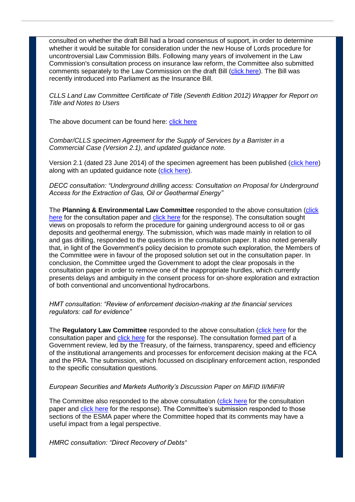consulted on whether the draft Bill had a broad consensus of support, in order to determine whether it would be suitable for consideration under the new House of Lords procedure for uncontroversial Law Commission Bills. Following many years of involvement in the Law Commission's consultation process on insurance law reform, the Committee also submitted comments separately to the Law Commission on the draft Bill [\(click here\)](http://www.citysolicitors.org.uk/attachments/article/117/20140708%20CLLS%20Insurance%20Law%20Committee%20letter%20to%20the%20Law%20Commissions%202%20July%202014%20(2).pdf). The Bill was recently introduced into Parliament as the Insurance Bill.

*CLLS Land Law Committee Certificate of Title (Seventh Edition 2012) Wrapper for Report on Title and Notes to Users*

The above document can be found here: [click here](http://www.citysolicitors.org.uk/attachments/category/165/16892910_3_Certificate%20wrapper%20%20-%20version%203%20%2021%20May%202014_CLEANED.pdf)

*Combar/CLLS specimen Agreement for the Supply of Services by a Barrister in a Commercial Case (Version 2.1), and updated guidance note.* 

Version 2.1 (dated 23 June 2014) of the specimen agreement has been published [\(click here\)](http://www.citysolicitors.org.uk/attachments/article/112/20140624%20Combar%20CLLS%20Barrister) along with an updated guidance note [\(click here\)](http://www.citysolicitors.org.uk/attachments/article/112/20140624%20Guidance%20note%20on%20Combar%20CLLS%20barrister).

*DECC consultation: "Underground drilling access: Consultation on Proposal for Underground Access for the Extraction of Gas, Oil or Geothermal Energy"*

The Planning & Environmental Law Committee responded to the above consultation (click [here](https://www.gov.uk/government/consultations/underground-drilling-access) for the consultation paper and [click here](http://www.citysolicitors.org.uk/attachments/article/109/20140814%20CLLS%20response%20to%20DECC%20) for the response). The consultation sought views on proposals to reform the procedure for gaining underground access to oil or gas deposits and geothermal energy. The submission, which was made mainly in relation to oil and gas drilling, responded to the questions in the consultation paper. It also noted generally that, in light of the Government's policy decision to promote such exploration, the Members of the Committee were in favour of the proposed solution set out in the consultation paper. In conclusion, the Committee urged the Government to adopt the clear proposals in the consultation paper in order to remove one of the inappropriate hurdles, which currently presents delays and ambiguity in the consent process for on-shore exploration and extraction of both conventional and unconventional hydrocarbons.

*HMT consultation: "Review of enforcement decision-making at the financial services regulators: call for evidence"*

The **Regulatory Law Committee** responded to the above consultation [\(click here](https://www.gov.uk/government/consultations/review-of-enforcement-decision-making-at-the-financial-services-regulators-call-for-evidence) for the consultation paper and [click here](http://www.citysolicitors.org.uk/attachments/article/106/20140711%20Letter%20to%20Treasury%20re%20HMT%20Enforcement%20Call%20for%20Evidence%20July%202014%20(36475547).pdf) for the response). The consultation formed part of a Government review, led by the Treasury, of the fairness, transparency, speed and efficiency of the institutional arrangements and processes for enforcement decision making at the FCA and the PRA. The submission, which focussed on disciplinary enforcement action, responded to the specific consultation questions.

## *European Securities and Markets Authority's Discussion Paper on MiFID II/MiFIR*

The Committee also responded to the above consultation [\(click here](http://www.esma.europa.eu/consultation/Discussion-Paper-MiFID-IIMiFIR) for the consultation paper and [click here](http://www.citysolicitors.org.uk/attachments/article/106/20140801%20CLLS%20RC_%20Letter%20ESMA%20MiFID%20response%20(36840154)%20(3).pdf) for the response). The Committee's submission responded to those sections of the ESMA paper where the Committee hoped that its comments may have a useful impact from a legal perspective.

*HMRC consultation: "Direct Recovery of Debts"*